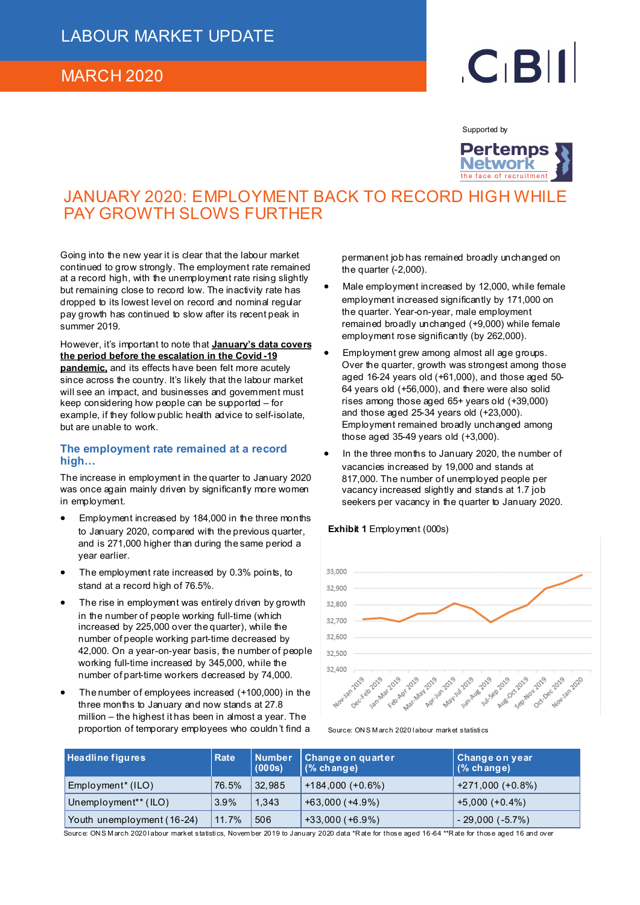### MARCH 2020

# $C<sub>1</sub>B$

Supported by



## JANUARY 2020: EMPLOYMENT BACK TO RECORD HIGH WHILE PAY GROWTH SLOWS FURTHER

Going into the new year it is clear that the labour market continued to grow strongly. The employment rate remained at a record high, with the unemployment rate rising slightly but remaining close to record low. The inactivity rate has dropped to its lowest level on record and nominal regular pay growth has continued to slow after its recent peak in summer 2019.

However, it's important to note that **January's data covers the period before the escalation in the Covid -19 pandemic,** and its effects have been felt more acutely since across the country. It's likely that the labour market will see an impact, and businesses and government must keep considering how people can be supported – for example, if they follow public health advice to self-isolate, but are unable to work.

#### **The employment rate remained at a record high…**

The increase in employment in the quarter to January 2020 was once again mainly driven by significantly more women in employment.

- Employment increased by 184,000 in the three months to January 2020, compared with the previous quarter, and is 271,000 higher than during the same period a year earlier.
- The employment rate increased by 0.3% points, to stand at a record high of 76.5%.
- The rise in employment was entirely driven by growth in the number of people working full-time (which increased by 225,000 over the quarter), while the number of people working part-time decreased by 42,000. On a year-on-year basis, the number of people working full-time increased by 345,000, while the number of part-time workers decreased by 74,000.
- The number of employees increased (+100,000) in the three months to January and now stands at 27.8 million – the highest it has been in almost a year. The proportion of temporary employees who couldn't find a

permanent job has remained broadly unchanged on the quarter  $(-2,000)$ .

- Male employment increased by 12,000, while female employment increased significantly by 171,000 on the quarter. Year-on-year, male employment remained broadly unchanged (+9,000) while female employment rose significantly (by 262,000).
- Employment grew among almost all age groups. Over the quarter, growth was strongest among those aged 16-24 years old (+61,000), and those aged 50- 64 years old (+56,000), and there were also solid rises among those aged 65+ years old (+39,000) and those aged 25-34 years old (+23,000). Employment remained broadly unchanged among those aged 35-49 years old (+3,000).
- In the three months to January 2020, the number of vacancies increased by 19,000 and stands at 817,000. The number of unemployed people per vacancy increased slightly and stands at 1.7 job seekers per vacancy in the quarter to January 2020.

#### **Exhibit 1** Employment (000s)



Source: ON S M arch 2020 l abour market statisti cs

| <b>Headline figures</b>          | <b>Rate</b> | <b>Number</b><br>(000s) | Change on quarter<br>$(%$ change) | Change on year<br>$(%$ change) |
|----------------------------------|-------------|-------------------------|-----------------------------------|--------------------------------|
| Employment <sup>*</sup> (ILO)    | 76.5%       | 32,985                  | $+184,000 (+0.6%)$                | $+271,000 (+0.8%)$             |
| Unemployment <sup>**</sup> (ILO) | 3.9%        | 1.343                   | $+63,000 (+4.9%)$                 | $+5,000 (+0.4%)$               |
| Youth unemployment (16-24)       | 11.7%       | 506                     | $+33,000 (+6.9%)$                 | $-29,000(-5.7%)$               |

Source: ON SM arch 2020 labour market statistics, November 2019 to January 2020 data \*Rate for those aged 16-64 \*\*R ate for those aged 16 and over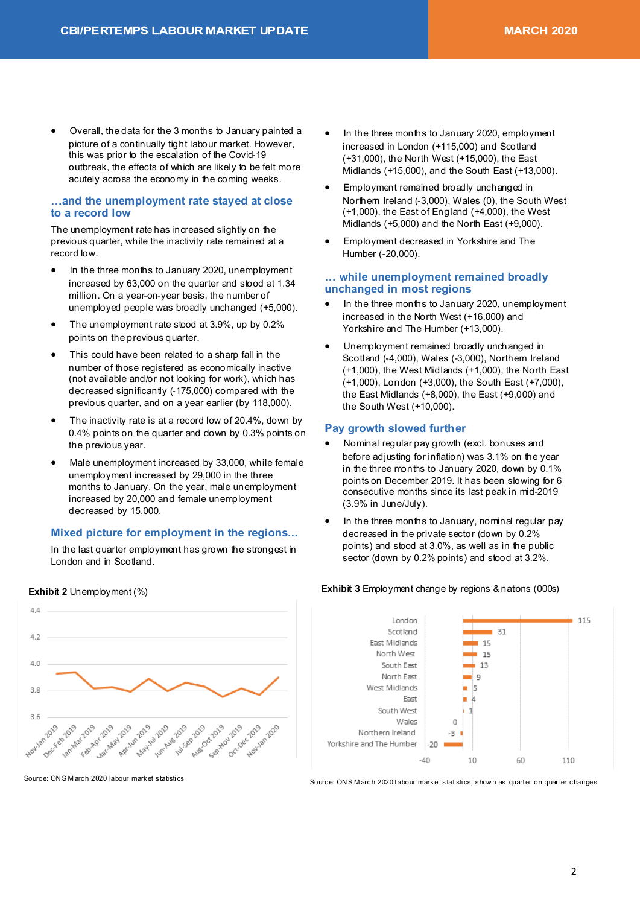• Overall, the data for the 3 months to January painted a picture of a continually tight labour market. However, this was prior to the escalation of the Covid-19 outbreak, the effects of which are likely to be felt more acutely across the economy in the coming weeks.

#### **…and the unemployment rate stayed at close to a record low**

The unemployment rate has increased slightly on the previous quarter, while the inactivity rate remained at a record low.

- In the three months to January 2020, unemployment increased by 63,000 on the quarter and stood at 1.34 million. On a year-on-year basis, the number of unemployed people was broadly unchanged (+5,000).
- The unemployment rate stood at 3.9%, up by 0.2% points on the previous quarter.
- This could have been related to a sharp fall in the number of those registered as economically inactive (not available and/or not looking for work), which has decreased significantly (-175,000) compared with the previous quarter, and on a year earlier (by 118,000).
- The inactivity rate is at a record low of 20.4%, down by 0.4% points on the quarter and down by 0.3% points on the previous year.
- Male unemployment increased by 33,000, while female unemployment increased by 29,000 in the three months to January. On the year, male unemployment increased by 20,000 and female unemployment decreased by 15,000.

#### **Mixed picture for employment in the regions...**

In the last quarter employment has grown the strongest in London and in Scotland.

 $\triangle$   $\triangle$  $4.2$  $4.0$ 38  $36$ Ause Seption February 2019 lunchue zong Dec.Feb 2013 Jan-Mar 2019 Apr 2019 Apr 1019 April May May 14th 2019 1411-Sep 2019 Seption 2019 Occlose Nov.10 Nov-Jan 2020 whan 2019

**Exhibit 2** Unemployment (%) **Exhibit 3** Employment change by regions & nations (000s)

Source: ON S M arch 2020 l abour market statisti cs

- In the three months to January 2020, employment increased in London (+115,000) and Scotland (+31,000), the North West (+15,000), the East Midlands (+15,000), and the South East (+13,000).
- Employment remained broadly unchanged in Northern Ireland (-3,000), Wales (0), the South West (+1,000), the East of England (+4,000), the West Midlands (+5,000) and the North East (+9,000).
- Employment decreased in Yorkshire and The Humber (-20,000).

#### **… while unemployment remained broadly unchanged in most regions**

- In the three months to January 2020, unemployment increased in the North West (+16,000) and Yorkshire and The Humber (+13,000).
- Unemployment remained broadly unchanged in Scotland (-4,000), Wales (-3,000), Northern Ireland (+1,000), the West Midlands (+1,000), the North East (+1,000), London (+3,000), the South East (+7,000), the East Midlands (+8,000), the East (+9,000) and the South West (+10,000).

#### **Pay growth slowed further**

- Nominal regular pay growth (excl. bonuses and before adjusting for inflation) was 3.1% on the year in the three months to January 2020, down by 0.1% points on December 2019. It has been slowing for 6 consecutive months since its last peak in mid-2019 (3.9% in June/July).
- In the three months to January, nominal regular pay decreased in the private sector (down by 0.2% points) and stood at 3.0%, as well as in the public sector (down by 0.2% points) and stood at 3.2%.



Source: ON S M arch 2020 l abour market statisti cs, show n as quarter on quar ter changes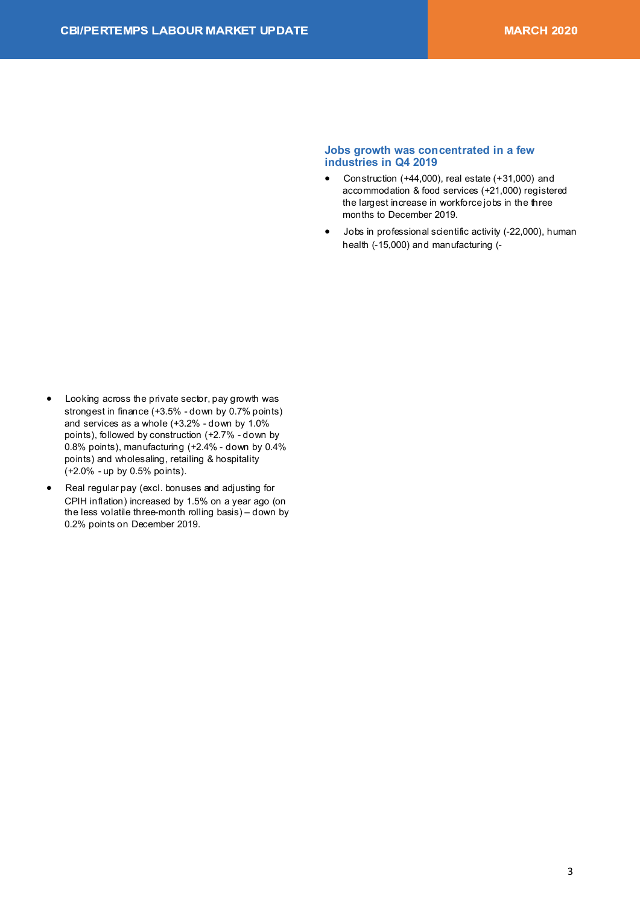#### Jobs growth was concentrated in a few industries in Q4 2019

- Construction (+44,000), real estate (+31,000) and  $\bullet$ accommodation & food services (+21.000) registered the largest increase in workforce jobs in the three months to December 2019.
- Jobs in professional scientific activity (-22,000), human health (-15,000) and manufacturing (-

- $\bullet$ Looking across the private sector, pay growth was strongest in finance (+3.5% - down by 0.7% points) and services as a whole (+3.2% - down by 1.0% points), followed by construction (+2.7% - down by 0.8% points), manufacturing (+2.4% - down by 0.4% points) and wholesaling, retailing & hospitality (+2.0% - up by 0.5% points).
- Real regular pay (excl. bonuses and adjusting for  $\bullet$ CPIH inflation) increased by 1.5% on a year ago (on the less volatile three-month rolling basis) - down by 0.2% points on December 2019.